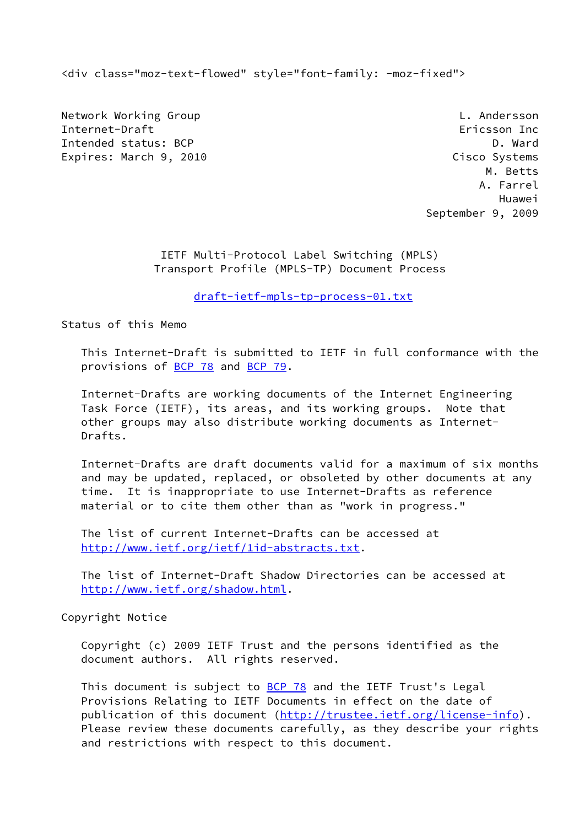<div class="moz-text-flowed" style="font-family: -moz-fixed">

Network Working Group **L. Andersson** Internet-Draft Ericsson Inc Intended status: BCP D. Ward D. Ward D. Ward D. Ward D. Ward D. Ward D. Ward D. Ward D. Ward D. Ward D. Ward D Expires: March 9, 2010 Cisco Systems

 M. Betts A. Farrel Huawei September 9, 2009

> IETF Multi-Protocol Label Switching (MPLS) Transport Profile (MPLS-TP) Document Process

> > [draft-ietf-mpls-tp-process-01.txt](https://datatracker.ietf.org/doc/pdf/draft-ietf-mpls-tp-process-01.txt)

Status of this Memo

 This Internet-Draft is submitted to IETF in full conformance with the provisions of [BCP 78](https://datatracker.ietf.org/doc/pdf/bcp78) and [BCP 79](https://datatracker.ietf.org/doc/pdf/bcp79).

 Internet-Drafts are working documents of the Internet Engineering Task Force (IETF), its areas, and its working groups. Note that other groups may also distribute working documents as Internet- Drafts.

 Internet-Drafts are draft documents valid for a maximum of six months and may be updated, replaced, or obsoleted by other documents at any time. It is inappropriate to use Internet-Drafts as reference material or to cite them other than as "work in progress."

 The list of current Internet-Drafts can be accessed at <http://www.ietf.org/ietf/1id-abstracts.txt>.

 The list of Internet-Draft Shadow Directories can be accessed at <http://www.ietf.org/shadow.html>.

Copyright Notice

 Copyright (c) 2009 IETF Trust and the persons identified as the document authors. All rights reserved.

This document is subject to **[BCP 78](https://datatracker.ietf.org/doc/pdf/bcp78)** and the IETF Trust's Legal Provisions Relating to IETF Documents in effect on the date of publication of this document [\(http://trustee.ietf.org/license-info](http://trustee.ietf.org/license-info)). Please review these documents carefully, as they describe your rights and restrictions with respect to this document.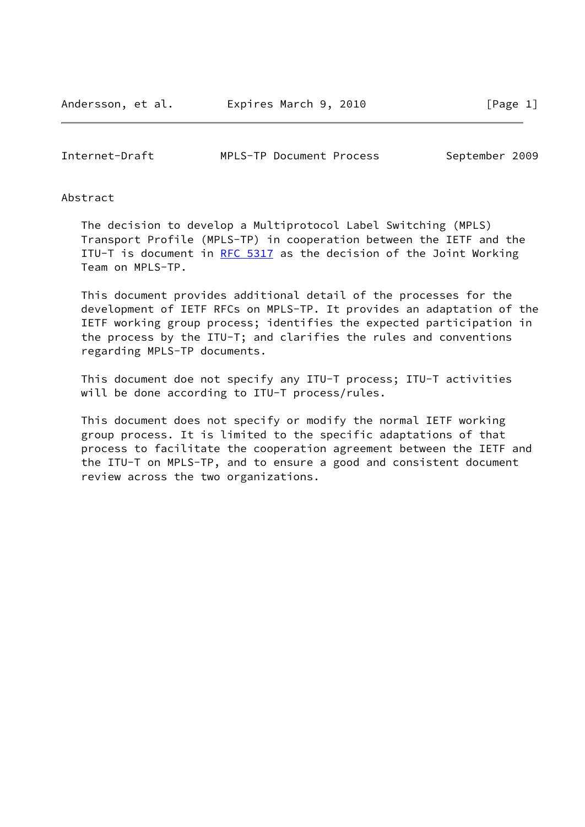Internet-Draft MPLS-TP Document Process September 2009

## Abstract

 The decision to develop a Multiprotocol Label Switching (MPLS) Transport Profile (MPLS-TP) in cooperation between the IETF and the ITU-T is document in [RFC 5317](https://datatracker.ietf.org/doc/pdf/rfc5317) as the decision of the Joint Working Team on MPLS-TP.

 This document provides additional detail of the processes for the development of IETF RFCs on MPLS-TP. It provides an adaptation of the IETF working group process; identifies the expected participation in the process by the ITU-T; and clarifies the rules and conventions regarding MPLS-TP documents.

 This document doe not specify any ITU-T process; ITU-T activities will be done according to ITU-T process/rules.

 This document does not specify or modify the normal IETF working group process. It is limited to the specific adaptations of that process to facilitate the cooperation agreement between the IETF and the ITU-T on MPLS-TP, and to ensure a good and consistent document review across the two organizations.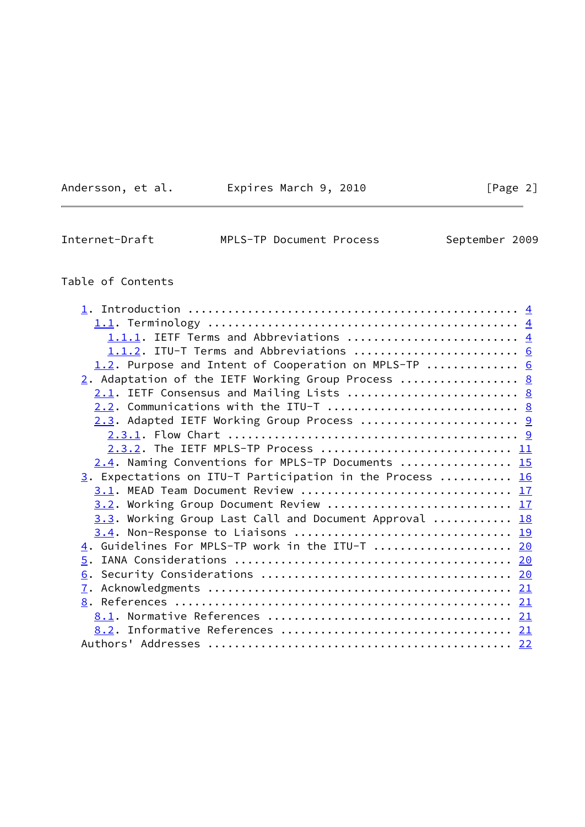| Andersson, et al. |  |
|-------------------|--|
|                   |  |

Expires March 9, 2010 [Page 2]

Internet-Draft MPLS-TP Document Process September 2009

# Table of Contents

| 1.1.1. IETF Terms and Abbreviations  4                                   |  |
|--------------------------------------------------------------------------|--|
| 1.1.2. ITU-T Terms and Abbreviations  6                                  |  |
| 1.2. Purpose and Intent of Cooperation on MPLS-TP  6                     |  |
| 2. Adaptation of the IETF Working Group Process  8                       |  |
|                                                                          |  |
| 2.2. Communications with the ITU-T  8                                    |  |
| 2.3. Adapted IETF Working Group Process  9                               |  |
|                                                                          |  |
| 2.3.2. The IETF MPLS-TP Process  11                                      |  |
| 2.4. Naming Conventions for MPLS-TP Documents  15                        |  |
| $\underline{3}$ . Expectations on ITU-T Participation in the Process  16 |  |
|                                                                          |  |
| 3.2. Working Group Document Review  17                                   |  |
| 3.3. Working Group Last Call and Document Approval  18                   |  |
|                                                                          |  |
| 4. Guidelines For MPLS-TP work in the ITU-T  20                          |  |
|                                                                          |  |
|                                                                          |  |
|                                                                          |  |
|                                                                          |  |
|                                                                          |  |
|                                                                          |  |
|                                                                          |  |
|                                                                          |  |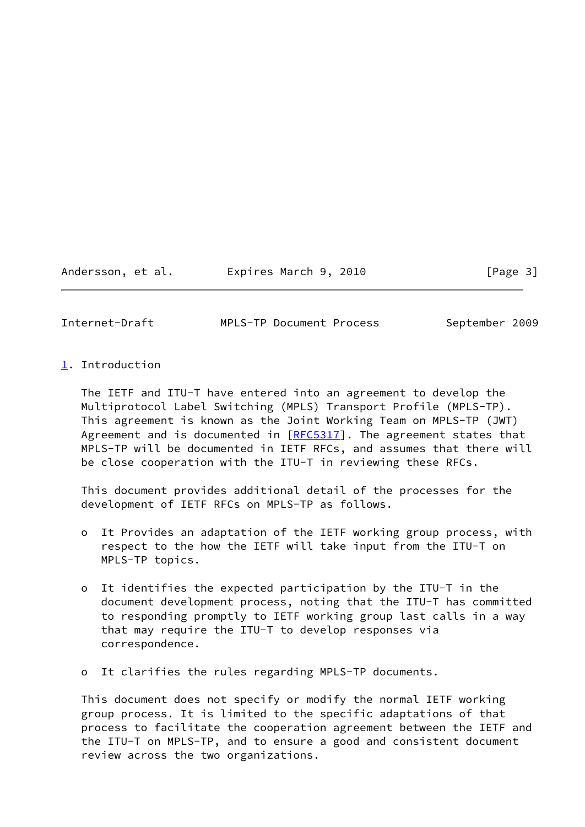Andersson, et al. **Expires March 9, 2010**[Page 3]

<span id="page-3-1"></span>

Internet-Draft MPLS-TP Document Process September 2009

<span id="page-3-0"></span>[1](#page-3-0). Introduction

 The IETF and ITU-T have entered into an agreement to develop the Multiprotocol Label Switching (MPLS) Transport Profile (MPLS-TP). This agreement is known as the Joint Working Team on MPLS-TP (JWT) Agreement and is documented in  $[REC5317]$ . The agreement states that MPLS-TP will be documented in IETF RFCs, and assumes that there will be close cooperation with the ITU-T in reviewing these RFCs.

 This document provides additional detail of the processes for the development of IETF RFCs on MPLS-TP as follows.

- o It Provides an adaptation of the IETF working group process, with respect to the how the IETF will take input from the ITU-T on MPLS-TP topics.
- o It identifies the expected participation by the ITU-T in the document development process, noting that the ITU-T has committed to responding promptly to IETF working group last calls in a way that may require the ITU-T to develop responses via correspondence.
- o It clarifies the rules regarding MPLS-TP documents.

 This document does not specify or modify the normal IETF working group process. It is limited to the specific adaptations of that process to facilitate the cooperation agreement between the IETF and the ITU-T on MPLS-TP, and to ensure a good and consistent document review across the two organizations.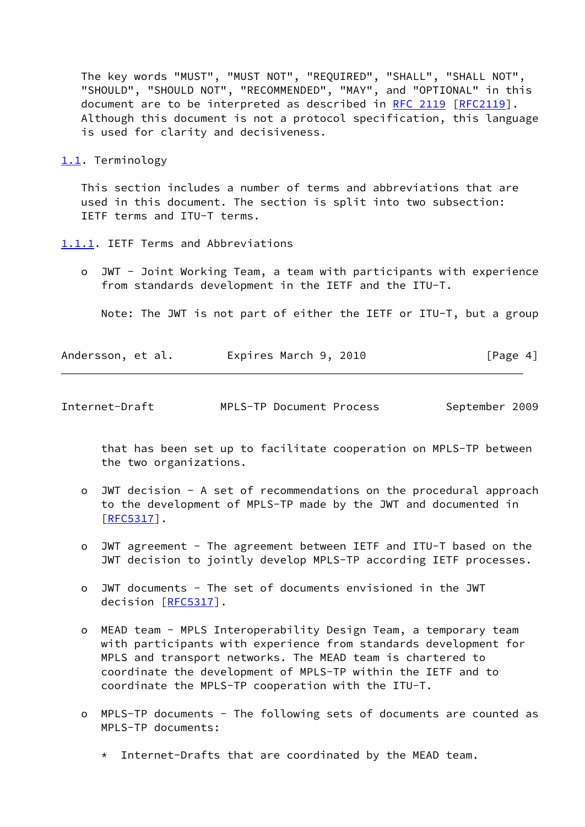The key words "MUST", "MUST NOT", "REQUIRED", "SHALL", "SHALL NOT", "SHOULD", "SHOULD NOT", "RECOMMENDED", "MAY", and "OPTIONAL" in this document are to be interpreted as described in [RFC 2119 \[RFC2119](https://datatracker.ietf.org/doc/pdf/rfc2119)]. Although this document is not a protocol specification, this language is used for clarity and decisiveness.

<span id="page-4-0"></span>[1.1](#page-4-0). Terminology

 This section includes a number of terms and abbreviations that are used in this document. The section is split into two subsection: IETF terms and ITU-T terms.

<span id="page-4-1"></span>[1.1.1](#page-4-1). IETF Terms and Abbreviations

 o JWT - Joint Working Team, a team with participants with experience from standards development in the IETF and the ITU-T.

Note: The JWT is not part of either the IETF or ITU-T, but a group

| Andersson, et al. | Expires March 9, 2010 | [Page 4] |
|-------------------|-----------------------|----------|
|-------------------|-----------------------|----------|

| Internet-Draft | MPLS-TP Document Process | September 2009 |  |
|----------------|--------------------------|----------------|--|
|                |                          |                |  |

 that has been set up to facilitate cooperation on MPLS-TP between the two organizations.

- o JWT decision A set of recommendations on the procedural approach to the development of MPLS-TP made by the JWT and documented in [[RFC5317\]](https://datatracker.ietf.org/doc/pdf/rfc5317).
- o JWT agreement The agreement between IETF and ITU-T based on the JWT decision to jointly develop MPLS-TP according IETF processes.
- o JWT documents The set of documents envisioned in the JWT decision [\[RFC5317](https://datatracker.ietf.org/doc/pdf/rfc5317)].
- o MEAD team MPLS Interoperability Design Team, a temporary team with participants with experience from standards development for MPLS and transport networks. The MEAD team is chartered to coordinate the development of MPLS-TP within the IETF and to coordinate the MPLS-TP cooperation with the ITU-T.
- o MPLS-TP documents The following sets of documents are counted as MPLS-TP documents:
	- \* Internet-Drafts that are coordinated by the MEAD team.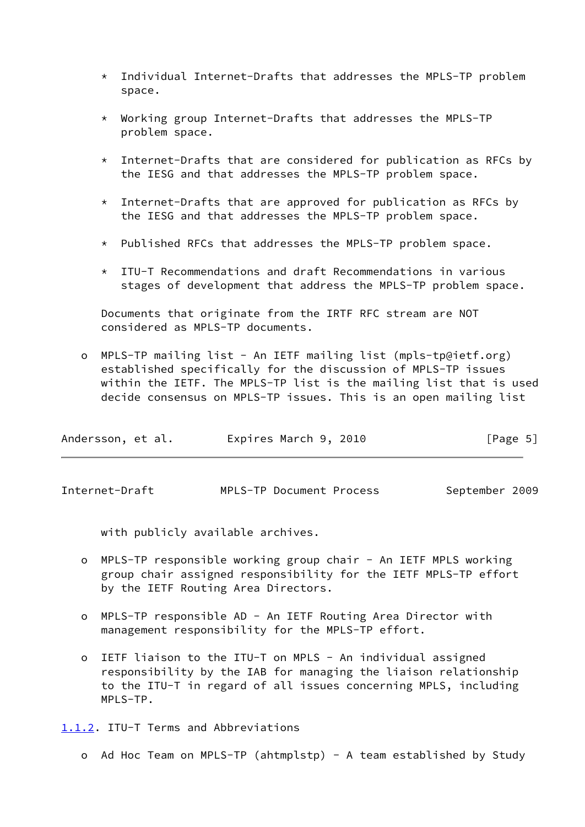- \* Individual Internet-Drafts that addresses the MPLS-TP problem space.
- \* Working group Internet-Drafts that addresses the MPLS-TP problem space.
- \* Internet-Drafts that are considered for publication as RFCs by the IESG and that addresses the MPLS-TP problem space.
- $*$  Internet-Drafts that are approved for publication as RFCs by the IESG and that addresses the MPLS-TP problem space.
- \* Published RFCs that addresses the MPLS-TP problem space.
- $*$  ITU-T Recommendations and draft Recommendations in various stages of development that address the MPLS-TP problem space.

 Documents that originate from the IRTF RFC stream are NOT considered as MPLS-TP documents.

 o MPLS-TP mailing list - An IETF mailing list (mpls-tp@ietf.org) established specifically for the discussion of MPLS-TP issues within the IETF. The MPLS-TP list is the mailing list that is used decide consensus on MPLS-TP issues. This is an open mailing list

| Andersson, et al. | Expires March 9, 2010 | [Page 5] |
|-------------------|-----------------------|----------|
|-------------------|-----------------------|----------|

<span id="page-5-1"></span>Internet-Draft MPLS-TP Document Process September 2009

with publicly available archives.

- o MPLS-TP responsible working group chair An IETF MPLS working group chair assigned responsibility for the IETF MPLS-TP effort by the IETF Routing Area Directors.
- o MPLS-TP responsible AD An IETF Routing Area Director with management responsibility for the MPLS-TP effort.
- o IETF liaison to the ITU-T on MPLS An individual assigned responsibility by the IAB for managing the liaison relationship to the ITU-T in regard of all issues concerning MPLS, including MPLS-TP.

<span id="page-5-0"></span>[1.1.2](#page-5-0). ITU-T Terms and Abbreviations

o Ad Hoc Team on MPLS-TP (ahtmplstp) - A team established by Study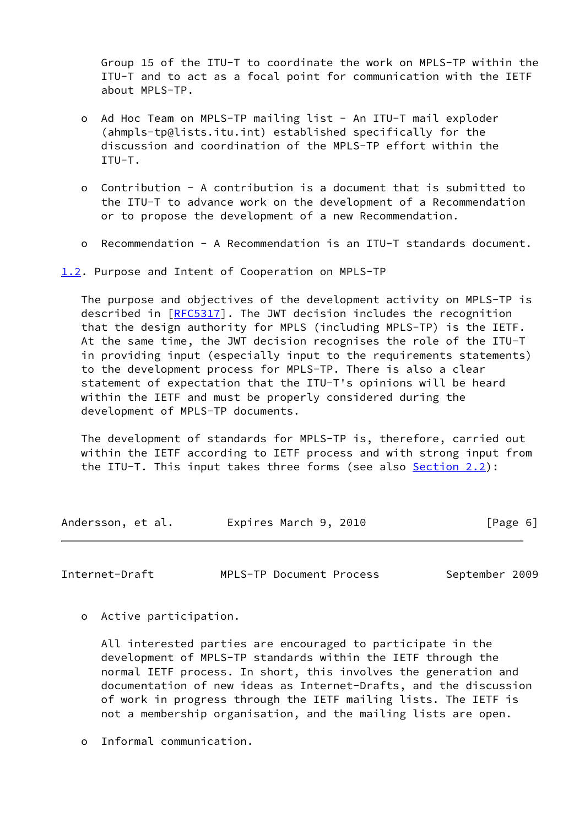Group 15 of the ITU-T to coordinate the work on MPLS-TP within the ITU-T and to act as a focal point for communication with the IETF about MPLS-TP.

- o Ad Hoc Team on MPLS-TP mailing list An ITU-T mail exploder (ahmpls-tp@lists.itu.int) established specifically for the discussion and coordination of the MPLS-TP effort within the ITU-T.
- o Contribution A contribution is a document that is submitted to the ITU-T to advance work on the development of a Recommendation or to propose the development of a new Recommendation.
- o Recommendation A Recommendation is an ITU-T standards document.

<span id="page-6-0"></span>[1.2](#page-6-0). Purpose and Intent of Cooperation on MPLS-TP

 The purpose and objectives of the development activity on MPLS-TP is described in [\[RFC5317](https://datatracker.ietf.org/doc/pdf/rfc5317)]. The JWT decision includes the recognition that the design authority for MPLS (including MPLS-TP) is the IETF. At the same time, the JWT decision recognises the role of the ITU-T in providing input (especially input to the requirements statements) to the development process for MPLS-TP. There is also a clear statement of expectation that the ITU-T's opinions will be heard within the IETF and must be properly considered during the development of MPLS-TP documents.

 The development of standards for MPLS-TP is, therefore, carried out within the IETF according to IETF process and with strong input from the ITU-T. This input takes three forms (see also [Section 2.2](#page-8-2)):

Andersson, et al. Expires March 9, 2010 [Page 6]

Internet-Draft MPLS-TP Document Process September 2009

o Active participation.

 All interested parties are encouraged to participate in the development of MPLS-TP standards within the IETF through the normal IETF process. In short, this involves the generation and documentation of new ideas as Internet-Drafts, and the discussion of work in progress through the IETF mailing lists. The IETF is not a membership organisation, and the mailing lists are open.

o Informal communication.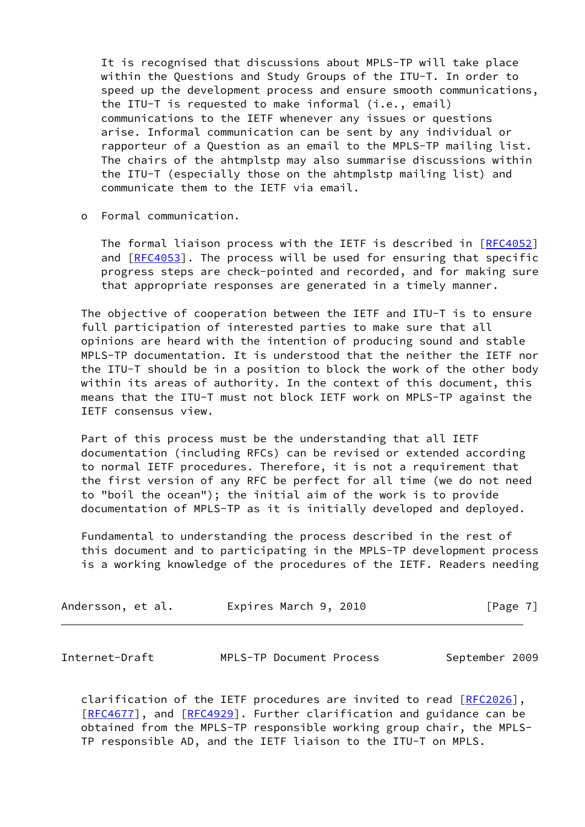It is recognised that discussions about MPLS-TP will take place within the Questions and Study Groups of the ITU-T. In order to speed up the development process and ensure smooth communications, the ITU-T is requested to make informal (i.e., email) communications to the IETF whenever any issues or questions arise. Informal communication can be sent by any individual or rapporteur of a Question as an email to the MPLS-TP mailing list. The chairs of the ahtmplstp may also summarise discussions within the ITU-T (especially those on the ahtmplstp mailing list) and communicate them to the IETF via email.

o Formal communication.

The formal liaison process with the IETF is described in [\[RFC4052](https://datatracker.ietf.org/doc/pdf/rfc4052)] and  $[REC4053]$ . The process will be used for ensuring that specific progress steps are check-pointed and recorded, and for making sure that appropriate responses are generated in a timely manner.

 The objective of cooperation between the IETF and ITU-T is to ensure full participation of interested parties to make sure that all opinions are heard with the intention of producing sound and stable MPLS-TP documentation. It is understood that the neither the IETF nor the ITU-T should be in a position to block the work of the other body within its areas of authority. In the context of this document, this means that the ITU-T must not block IETF work on MPLS-TP against the IETF consensus view.

 Part of this process must be the understanding that all IETF documentation (including RFCs) can be revised or extended according to normal IETF procedures. Therefore, it is not a requirement that the first version of any RFC be perfect for all time (we do not need to "boil the ocean"); the initial aim of the work is to provide documentation of MPLS-TP as it is initially developed and deployed.

 Fundamental to understanding the process described in the rest of this document and to participating in the MPLS-TP development process is a working knowledge of the procedures of the IETF. Readers needing

| Andersson, et al. | Expires March 9, 2010 | [Page 7] |
|-------------------|-----------------------|----------|
|-------------------|-----------------------|----------|

<span id="page-7-0"></span>Internet-Draft MPLS-TP Document Process September 2009

clarification of the IETF procedures are invited to read [\[RFC2026](https://datatracker.ietf.org/doc/pdf/rfc2026)], [\[RFC4677](https://datatracker.ietf.org/doc/pdf/rfc4677)], and [\[RFC4929](https://datatracker.ietf.org/doc/pdf/rfc4929)]. Further clarification and guidance can be obtained from the MPLS-TP responsible working group chair, the MPLS- TP responsible AD, and the IETF liaison to the ITU-T on MPLS.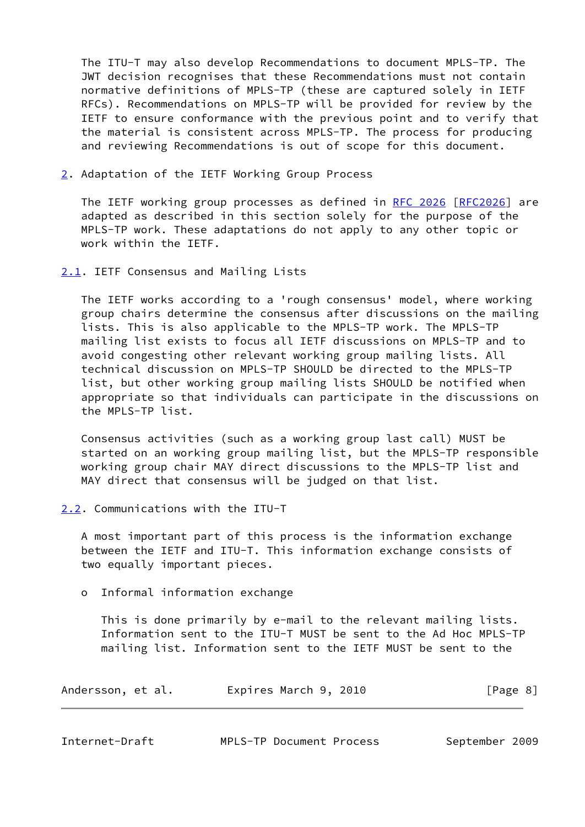The ITU-T may also develop Recommendations to document MPLS-TP. The JWT decision recognises that these Recommendations must not contain normative definitions of MPLS-TP (these are captured solely in IETF RFCs). Recommendations on MPLS-TP will be provided for review by the IETF to ensure conformance with the previous point and to verify that the material is consistent across MPLS-TP. The process for producing and reviewing Recommendations is out of scope for this document.

<span id="page-8-0"></span>[2](#page-8-0). Adaptation of the IETF Working Group Process

The IETF working group processes as defined in [RFC 2026 \[RFC2026](https://datatracker.ietf.org/doc/pdf/rfc2026)] are adapted as described in this section solely for the purpose of the MPLS-TP work. These adaptations do not apply to any other topic or work within the IETF.

<span id="page-8-1"></span>[2.1](#page-8-1). IETF Consensus and Mailing Lists

 The IETF works according to a 'rough consensus' model, where working group chairs determine the consensus after discussions on the mailing lists. This is also applicable to the MPLS-TP work. The MPLS-TP mailing list exists to focus all IETF discussions on MPLS-TP and to avoid congesting other relevant working group mailing lists. All technical discussion on MPLS-TP SHOULD be directed to the MPLS-TP list, but other working group mailing lists SHOULD be notified when appropriate so that individuals can participate in the discussions on the MPLS-TP list.

 Consensus activities (such as a working group last call) MUST be started on an working group mailing list, but the MPLS-TP responsible working group chair MAY direct discussions to the MPLS-TP list and MAY direct that consensus will be judged on that list.

<span id="page-8-2"></span>[2.2](#page-8-2). Communications with the ITU-T

 A most important part of this process is the information exchange between the IETF and ITU-T. This information exchange consists of two equally important pieces.

o Informal information exchange

 This is done primarily by e-mail to the relevant mailing lists. Information sent to the ITU-T MUST be sent to the Ad Hoc MPLS-TP mailing list. Information sent to the IETF MUST be sent to the

| Andersson, et al. | Expires March 9, 2010 | [Page 8] |  |
|-------------------|-----------------------|----------|--|
|                   |                       |          |  |

<span id="page-8-3"></span>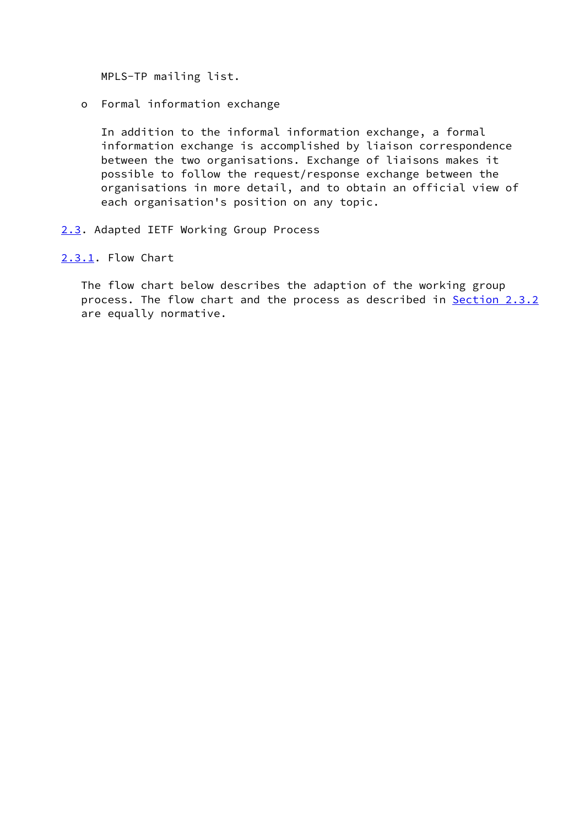MPLS-TP mailing list.

o Formal information exchange

 In addition to the informal information exchange, a formal information exchange is accomplished by liaison correspondence between the two organisations. Exchange of liaisons makes it possible to follow the request/response exchange between the organisations in more detail, and to obtain an official view of each organisation's position on any topic.

<span id="page-9-0"></span>[2.3](#page-9-0). Adapted IETF Working Group Process

<span id="page-9-1"></span>[2.3.1](#page-9-1). Flow Chart

 The flow chart below describes the adaption of the working group process. The flow chart and the process as described in [Section 2.3.2](#page-11-0) are equally normative.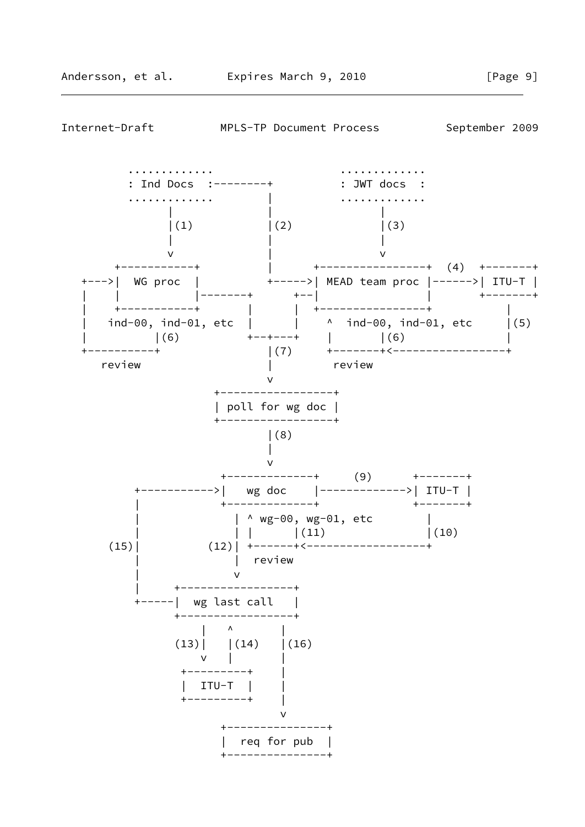

Internet-Draft MPLS-TP Document Process September 2009

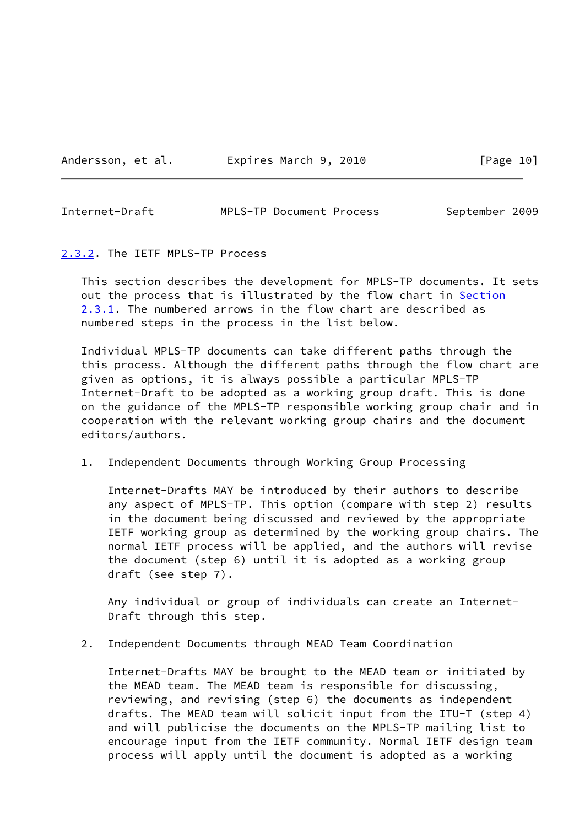<span id="page-11-1"></span>Internet-Draft MPLS-TP Document Process September 2009

<span id="page-11-0"></span>[2.3.2](#page-11-0). The IETF MPLS-TP Process

 This section describes the development for MPLS-TP documents. It sets out the process that is illustrated by the flow chart in [Section](#page-9-1) [2.3.1](#page-9-1). The numbered arrows in the flow chart are described as numbered steps in the process in the list below.

 Individual MPLS-TP documents can take different paths through the this process. Although the different paths through the flow chart are given as options, it is always possible a particular MPLS-TP Internet-Draft to be adopted as a working group draft. This is done on the guidance of the MPLS-TP responsible working group chair and in cooperation with the relevant working group chairs and the document editors/authors.

1. Independent Documents through Working Group Processing

 Internet-Drafts MAY be introduced by their authors to describe any aspect of MPLS-TP. This option (compare with step 2) results in the document being discussed and reviewed by the appropriate IETF working group as determined by the working group chairs. The normal IETF process will be applied, and the authors will revise the document (step 6) until it is adopted as a working group draft (see step 7).

 Any individual or group of individuals can create an Internet- Draft through this step.

2. Independent Documents through MEAD Team Coordination

 Internet-Drafts MAY be brought to the MEAD team or initiated by the MEAD team. The MEAD team is responsible for discussing, reviewing, and revising (step 6) the documents as independent drafts. The MEAD team will solicit input from the ITU-T (step 4) and will publicise the documents on the MPLS-TP mailing list to encourage input from the IETF community. Normal IETF design team process will apply until the document is adopted as a working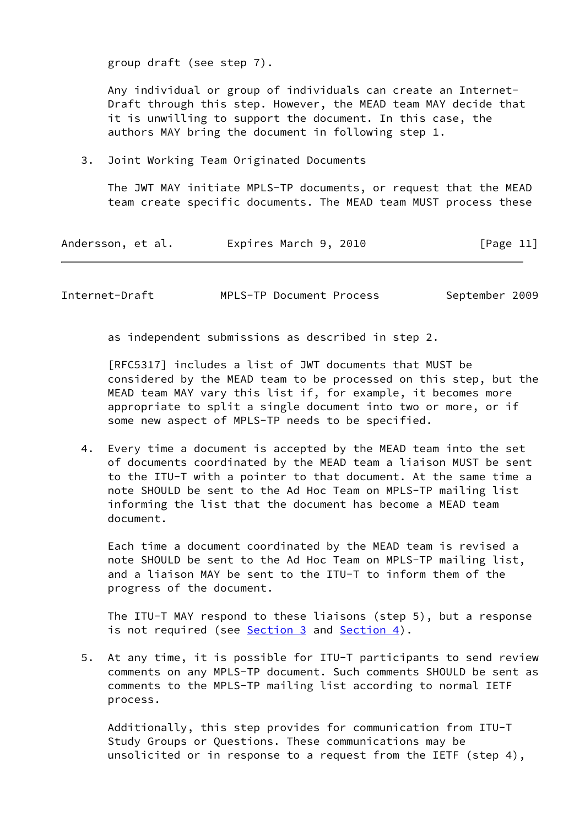group draft (see step 7).

 Any individual or group of individuals can create an Internet- Draft through this step. However, the MEAD team MAY decide that it is unwilling to support the document. In this case, the authors MAY bring the document in following step 1.

3. Joint Working Team Originated Documents

 The JWT MAY initiate MPLS-TP documents, or request that the MEAD team create specific documents. The MEAD team MUST process these

| Andersson, et al. | Expires March 9, 2010 | [Page 11] |
|-------------------|-----------------------|-----------|
|-------------------|-----------------------|-----------|

Internet-Draft MPLS-TP Document Process September 2009

as independent submissions as described in step 2.

 [RFC5317] includes a list of JWT documents that MUST be considered by the MEAD team to be processed on this step, but the MEAD team MAY vary this list if, for example, it becomes more appropriate to split a single document into two or more, or if some new aspect of MPLS-TP needs to be specified.

 4. Every time a document is accepted by the MEAD team into the set of documents coordinated by the MEAD team a liaison MUST be sent to the ITU-T with a pointer to that document. At the same time a note SHOULD be sent to the Ad Hoc Team on MPLS-TP mailing list informing the list that the document has become a MEAD team document.

 Each time a document coordinated by the MEAD team is revised a note SHOULD be sent to the Ad Hoc Team on MPLS-TP mailing list, and a liaison MAY be sent to the ITU-T to inform them of the progress of the document.

 The ITU-T MAY respond to these liaisons (step 5), but a response is not required (see  $Section 3$  and  $Section 4$ ).

 5. At any time, it is possible for ITU-T participants to send review comments on any MPLS-TP document. Such comments SHOULD be sent as comments to the MPLS-TP mailing list according to normal IETF process.

 Additionally, this step provides for communication from ITU-T Study Groups or Questions. These communications may be unsolicited or in response to a request from the IETF (step 4),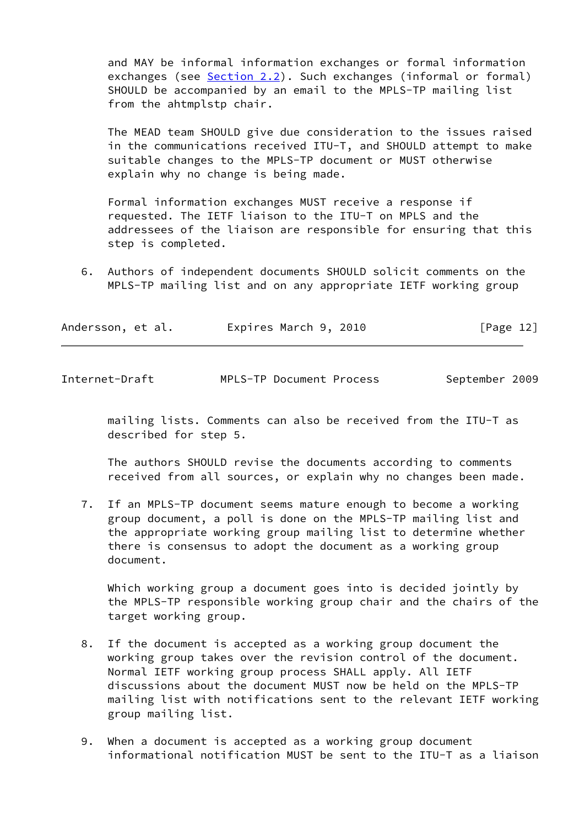and MAY be informal information exchanges or formal information exchanges (see [Section 2.2](#page-8-2)). Such exchanges (informal or formal) SHOULD be accompanied by an email to the MPLS-TP mailing list from the ahtmplstp chair.

 The MEAD team SHOULD give due consideration to the issues raised in the communications received ITU-T, and SHOULD attempt to make suitable changes to the MPLS-TP document or MUST otherwise explain why no change is being made.

 Formal information exchanges MUST receive a response if requested. The IETF liaison to the ITU-T on MPLS and the addressees of the liaison are responsible for ensuring that this step is completed.

 6. Authors of independent documents SHOULD solicit comments on the MPLS-TP mailing list and on any appropriate IETF working group

| [Page 12]<br>Expires March 9, 2010<br>Andersson, et al. |  |
|---------------------------------------------------------|--|
|---------------------------------------------------------|--|

| Internet-Draft | MPLS-TP Document Process | September 2009 |  |
|----------------|--------------------------|----------------|--|
|                |                          |                |  |

 mailing lists. Comments can also be received from the ITU-T as described for step 5.

 The authors SHOULD revise the documents according to comments received from all sources, or explain why no changes been made.

 7. If an MPLS-TP document seems mature enough to become a working group document, a poll is done on the MPLS-TP mailing list and the appropriate working group mailing list to determine whether there is consensus to adopt the document as a working group document.

 Which working group a document goes into is decided jointly by the MPLS-TP responsible working group chair and the chairs of the target working group.

- 8. If the document is accepted as a working group document the working group takes over the revision control of the document. Normal IETF working group process SHALL apply. All IETF discussions about the document MUST now be held on the MPLS-TP mailing list with notifications sent to the relevant IETF working group mailing list.
- 9. When a document is accepted as a working group document informational notification MUST be sent to the ITU-T as a liaison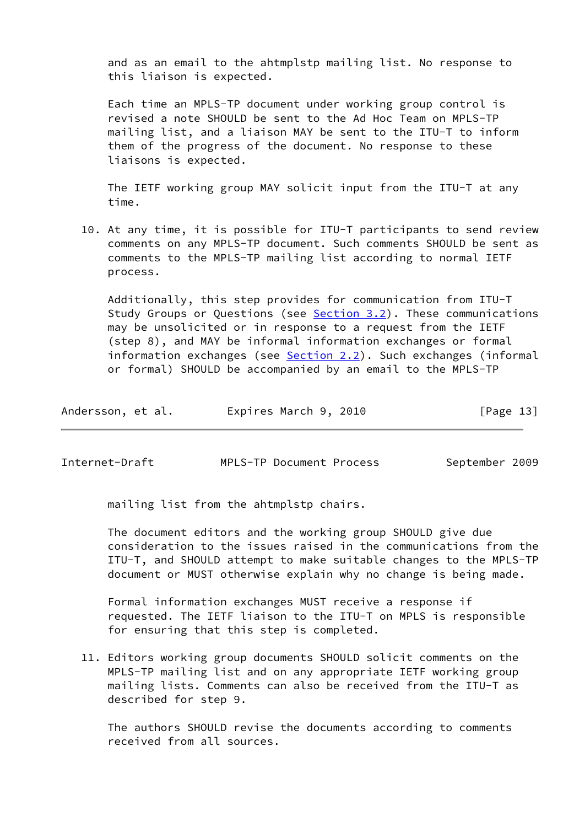and as an email to the ahtmplstp mailing list. No response to this liaison is expected.

 Each time an MPLS-TP document under working group control is revised a note SHOULD be sent to the Ad Hoc Team on MPLS-TP mailing list, and a liaison MAY be sent to the ITU-T to inform them of the progress of the document. No response to these liaisons is expected.

 The IETF working group MAY solicit input from the ITU-T at any time.

 10. At any time, it is possible for ITU-T participants to send review comments on any MPLS-TP document. Such comments SHOULD be sent as comments to the MPLS-TP mailing list according to normal IETF process.

 Additionally, this step provides for communication from ITU-T Study Groups or Questions (see [Section 3.2](#page-18-1)). These communications may be unsolicited or in response to a request from the IETF (step 8), and MAY be informal information exchanges or formal information exchanges (see [Section 2.2](#page-8-2)). Such exchanges (informal or formal) SHOULD be accompanied by an email to the MPLS-TP

| Andersson, et al. | Expires March 9, 2010 | [Page 13] |
|-------------------|-----------------------|-----------|
|-------------------|-----------------------|-----------|

Internet-Draft MPLS-TP Document Process September 2009

mailing list from the ahtmplstp chairs.

 The document editors and the working group SHOULD give due consideration to the issues raised in the communications from the ITU-T, and SHOULD attempt to make suitable changes to the MPLS-TP document or MUST otherwise explain why no change is being made.

 Formal information exchanges MUST receive a response if requested. The IETF liaison to the ITU-T on MPLS is responsible for ensuring that this step is completed.

 11. Editors working group documents SHOULD solicit comments on the MPLS-TP mailing list and on any appropriate IETF working group mailing lists. Comments can also be received from the ITU-T as described for step 9.

 The authors SHOULD revise the documents according to comments received from all sources.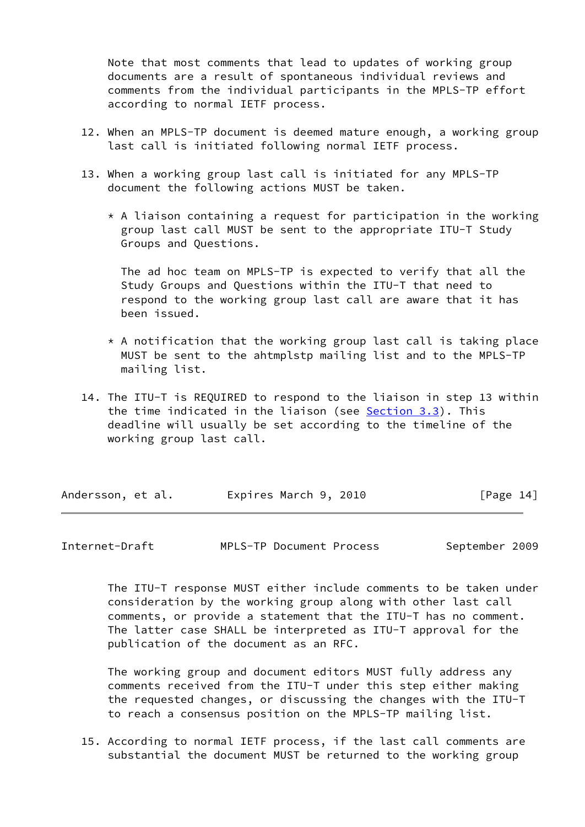Note that most comments that lead to updates of working group documents are a result of spontaneous individual reviews and comments from the individual participants in the MPLS-TP effort according to normal IETF process.

- 12. When an MPLS-TP document is deemed mature enough, a working group last call is initiated following normal IETF process.
- 13. When a working group last call is initiated for any MPLS-TP document the following actions MUST be taken.
	- $*$  A liaison containing a request for participation in the working group last call MUST be sent to the appropriate ITU-T Study Groups and Questions.

 The ad hoc team on MPLS-TP is expected to verify that all the Study Groups and Questions within the ITU-T that need to respond to the working group last call are aware that it has been issued.

- $*$  A notification that the working group last call is taking place MUST be sent to the ahtmplstp mailing list and to the MPLS-TP mailing list.
- 14. The ITU-T is REQUIRED to respond to the liaison in step 13 within the time indicated in the liaison (see [Section 3.3](#page-19-0)). This deadline will usually be set according to the timeline of the working group last call.

| Andersson, et al. | Expires March 9, 2010 | [Page 14] |
|-------------------|-----------------------|-----------|
|-------------------|-----------------------|-----------|

<span id="page-15-0"></span>Internet-Draft MPLS-TP Document Process September 2009

 The ITU-T response MUST either include comments to be taken under consideration by the working group along with other last call comments, or provide a statement that the ITU-T has no comment. The latter case SHALL be interpreted as ITU-T approval for the publication of the document as an RFC.

 The working group and document editors MUST fully address any comments received from the ITU-T under this step either making the requested changes, or discussing the changes with the ITU-T to reach a consensus position on the MPLS-TP mailing list.

 15. According to normal IETF process, if the last call comments are substantial the document MUST be returned to the working group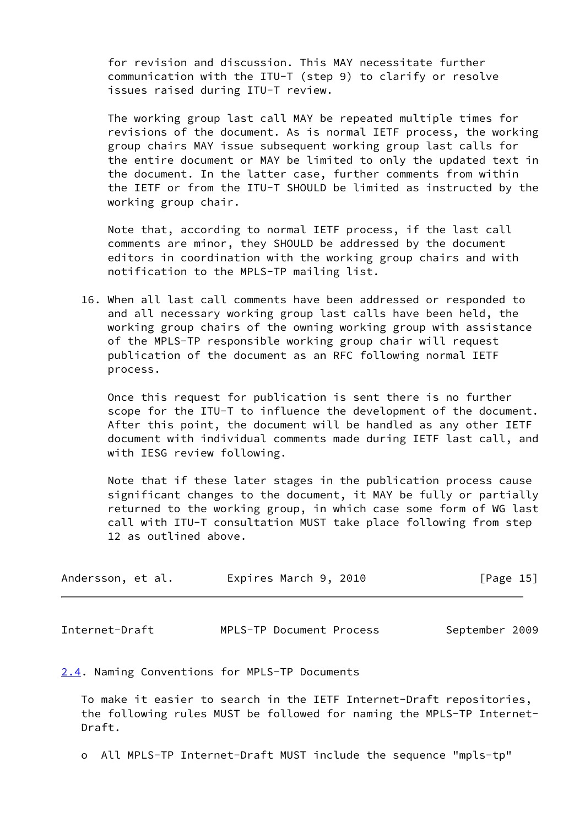for revision and discussion. This MAY necessitate further communication with the ITU-T (step 9) to clarify or resolve issues raised during ITU-T review.

 The working group last call MAY be repeated multiple times for revisions of the document. As is normal IETF process, the working group chairs MAY issue subsequent working group last calls for the entire document or MAY be limited to only the updated text in the document. In the latter case, further comments from within the IETF or from the ITU-T SHOULD be limited as instructed by the working group chair.

 Note that, according to normal IETF process, if the last call comments are minor, they SHOULD be addressed by the document editors in coordination with the working group chairs and with notification to the MPLS-TP mailing list.

 16. When all last call comments have been addressed or responded to and all necessary working group last calls have been held, the working group chairs of the owning working group with assistance of the MPLS-TP responsible working group chair will request publication of the document as an RFC following normal IETF process.

 Once this request for publication is sent there is no further scope for the ITU-T to influence the development of the document. After this point, the document will be handled as any other IETF document with individual comments made during IETF last call, and with IESG review following.

 Note that if these later stages in the publication process cause significant changes to the document, it MAY be fully or partially returned to the working group, in which case some form of WG last call with ITU-T consultation MUST take place following from step 12 as outlined above.

| Andersson, et al. | Expires March 9, 2010 | [Page 15] |
|-------------------|-----------------------|-----------|
|-------------------|-----------------------|-----------|

<span id="page-16-1"></span>Internet-Draft MPLS-TP Document Process September 2009

<span id="page-16-0"></span>[2.4](#page-16-0). Naming Conventions for MPLS-TP Documents

 To make it easier to search in the IETF Internet-Draft repositories, the following rules MUST be followed for naming the MPLS-TP Internet- Draft.

o All MPLS-TP Internet-Draft MUST include the sequence "mpls-tp"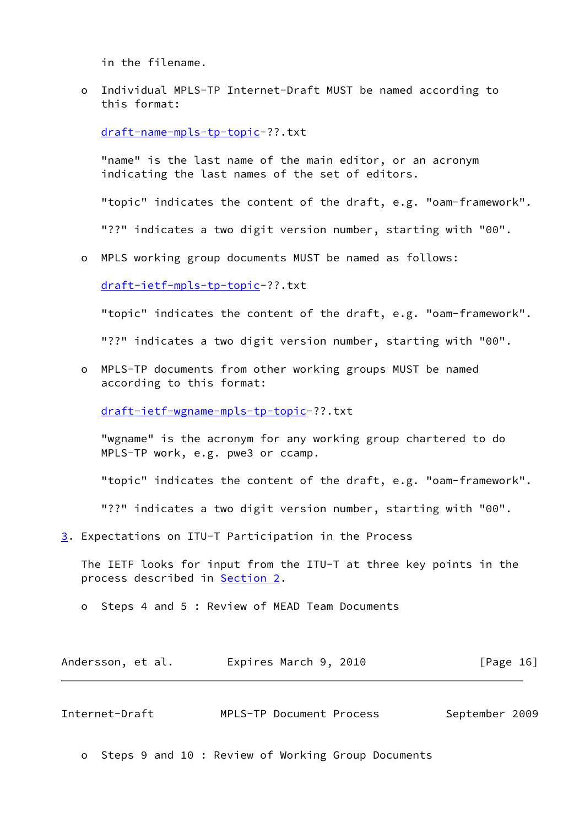in the filename.

 o Individual MPLS-TP Internet-Draft MUST be named according to this format:

[draft-name-mpls-tp-topic-](https://datatracker.ietf.org/doc/pdf/draft-name-mpls-tp-topic)??.txt

 "name" is the last name of the main editor, or an acronym indicating the last names of the set of editors.

"topic" indicates the content of the draft, e.g. "oam-framework".

"??" indicates a two digit version number, starting with "00".

o MPLS working group documents MUST be named as follows:

[draft-ietf-mpls-tp-topic-](https://datatracker.ietf.org/doc/pdf/draft-ietf-mpls-tp-topic)??.txt

"topic" indicates the content of the draft, e.g. "oam-framework".

"??" indicates a two digit version number, starting with "00".

 o MPLS-TP documents from other working groups MUST be named according to this format:

[draft-ietf-wgname-mpls-tp-topic](https://datatracker.ietf.org/doc/pdf/draft-ietf-wgname-mpls-tp-topic)-??.txt

 "wgname" is the acronym for any working group chartered to do MPLS-TP work, e.g. pwe3 or ccamp.

"topic" indicates the content of the draft, e.g. "oam-framework".

"??" indicates a two digit version number, starting with "00".

<span id="page-17-0"></span>[3](#page-17-0). Expectations on ITU-T Participation in the Process

 The IETF looks for input from the ITU-T at three key points in the process described in [Section 2](#page-8-0).

o Steps 4 and 5 : Review of MEAD Team Documents

| Andersson, et al. | Expires March 9, 2010 | [Page 16] |
|-------------------|-----------------------|-----------|
|-------------------|-----------------------|-----------|

<span id="page-17-1"></span>

| Internet-Draft |  | MPLS-TP Document Process |  | September 2009 |  |
|----------------|--|--------------------------|--|----------------|--|
|----------------|--|--------------------------|--|----------------|--|

o Steps 9 and 10 : Review of Working Group Documents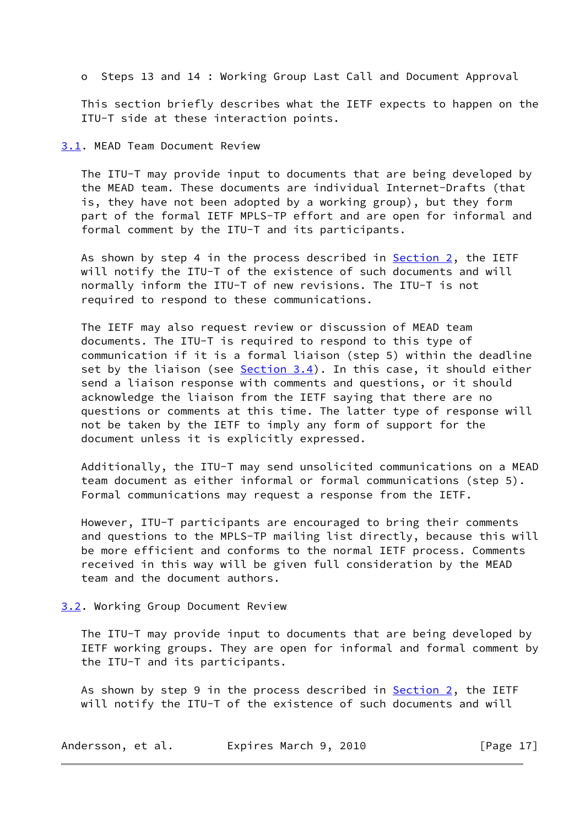o Steps 13 and 14 : Working Group Last Call and Document Approval

 This section briefly describes what the IETF expects to happen on the ITU-T side at these interaction points.

<span id="page-18-0"></span>[3.1](#page-18-0). MEAD Team Document Review

 The ITU-T may provide input to documents that are being developed by the MEAD team. These documents are individual Internet-Drafts (that is, they have not been adopted by a working group), but they form part of the formal IETF MPLS-TP effort and are open for informal and formal comment by the ITU-T and its participants.

As shown by step 4 in the process described in  $Section 2$ , the IETF will notify the ITU-T of the existence of such documents and will normally inform the ITU-T of new revisions. The ITU-T is not required to respond to these communications.

 The IETF may also request review or discussion of MEAD team documents. The ITU-T is required to respond to this type of communication if it is a formal liaison (step 5) within the deadline set by the liaison (see  $Section 3.4$ ). In this case, it should either send a liaison response with comments and questions, or it should acknowledge the liaison from the IETF saying that there are no questions or comments at this time. The latter type of response will not be taken by the IETF to imply any form of support for the document unless it is explicitly expressed.

 Additionally, the ITU-T may send unsolicited communications on a MEAD team document as either informal or formal communications (step 5). Formal communications may request a response from the IETF.

 However, ITU-T participants are encouraged to bring their comments and questions to the MPLS-TP mailing list directly, because this will be more efficient and conforms to the normal IETF process. Comments received in this way will be given full consideration by the MEAD team and the document authors.

### <span id="page-18-1"></span>[3.2](#page-18-1). Working Group Document Review

 The ITU-T may provide input to documents that are being developed by IETF working groups. They are open for informal and formal comment by the ITU-T and its participants.

As shown by step 9 in the process described in  $Section 2$ , the IETF will notify the ITU-T of the existence of such documents and will

| Andersson, et al. | Expires March 9, 2010 | [Page $17$ ] |
|-------------------|-----------------------|--------------|
|-------------------|-----------------------|--------------|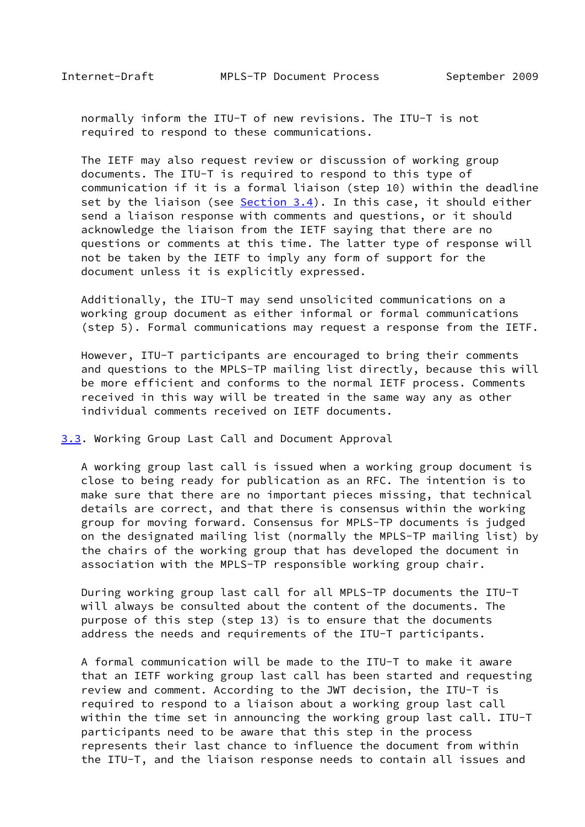<span id="page-19-1"></span> normally inform the ITU-T of new revisions. The ITU-T is not required to respond to these communications.

 The IETF may also request review or discussion of working group documents. The ITU-T is required to respond to this type of communication if it is a formal liaison (step 10) within the deadline set by the liaison (see  $Section 3.4$ ). In this case, it should either send a liaison response with comments and questions, or it should acknowledge the liaison from the IETF saying that there are no questions or comments at this time. The latter type of response will not be taken by the IETF to imply any form of support for the document unless it is explicitly expressed.

 Additionally, the ITU-T may send unsolicited communications on a working group document as either informal or formal communications (step 5). Formal communications may request a response from the IETF.

 However, ITU-T participants are encouraged to bring their comments and questions to the MPLS-TP mailing list directly, because this will be more efficient and conforms to the normal IETF process. Comments received in this way will be treated in the same way any as other individual comments received on IETF documents.

<span id="page-19-0"></span>[3.3](#page-19-0). Working Group Last Call and Document Approval

 A working group last call is issued when a working group document is close to being ready for publication as an RFC. The intention is to make sure that there are no important pieces missing, that technical details are correct, and that there is consensus within the working group for moving forward. Consensus for MPLS-TP documents is judged on the designated mailing list (normally the MPLS-TP mailing list) by the chairs of the working group that has developed the document in association with the MPLS-TP responsible working group chair.

 During working group last call for all MPLS-TP documents the ITU-T will always be consulted about the content of the documents. The purpose of this step (step 13) is to ensure that the documents address the needs and requirements of the ITU-T participants.

 A formal communication will be made to the ITU-T to make it aware that an IETF working group last call has been started and requesting review and comment. According to the JWT decision, the ITU-T is required to respond to a liaison about a working group last call within the time set in announcing the working group last call. ITU-T participants need to be aware that this step in the process represents their last chance to influence the document from within the ITU-T, and the liaison response needs to contain all issues and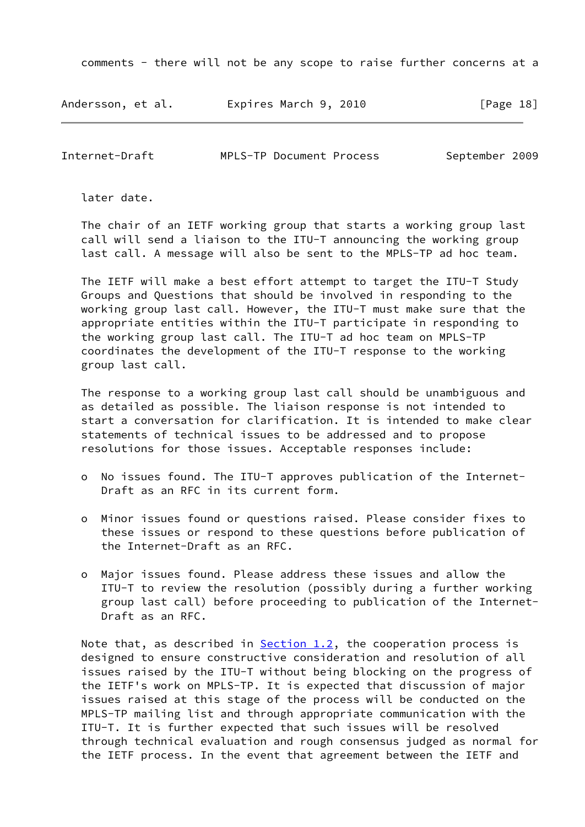comments - there will not be any scope to raise further concerns at a

| Andersson, et al. | Expires March 9, 2010 | [Page 18] |
|-------------------|-----------------------|-----------|
|-------------------|-----------------------|-----------|

<span id="page-20-0"></span>Internet-Draft MPLS-TP Document Process September 2009

later date.

 The chair of an IETF working group that starts a working group last call will send a liaison to the ITU-T announcing the working group last call. A message will also be sent to the MPLS-TP ad hoc team.

 The IETF will make a best effort attempt to target the ITU-T Study Groups and Questions that should be involved in responding to the working group last call. However, the ITU-T must make sure that the appropriate entities within the ITU-T participate in responding to the working group last call. The ITU-T ad hoc team on MPLS-TP coordinates the development of the ITU-T response to the working group last call.

 The response to a working group last call should be unambiguous and as detailed as possible. The liaison response is not intended to start a conversation for clarification. It is intended to make clear statements of technical issues to be addressed and to propose resolutions for those issues. Acceptable responses include:

- o No issues found. The ITU-T approves publication of the Internet- Draft as an RFC in its current form.
- o Minor issues found or questions raised. Please consider fixes to these issues or respond to these questions before publication of the Internet-Draft as an RFC.
- o Major issues found. Please address these issues and allow the ITU-T to review the resolution (possibly during a further working group last call) before proceeding to publication of the Internet- Draft as an RFC.

Note that, as described in  $Section 1.2$ , the cooperation process is designed to ensure constructive consideration and resolution of all issues raised by the ITU-T without being blocking on the progress of the IETF's work on MPLS-TP. It is expected that discussion of major issues raised at this stage of the process will be conducted on the MPLS-TP mailing list and through appropriate communication with the ITU-T. It is further expected that such issues will be resolved through technical evaluation and rough consensus judged as normal for the IETF process. In the event that agreement between the IETF and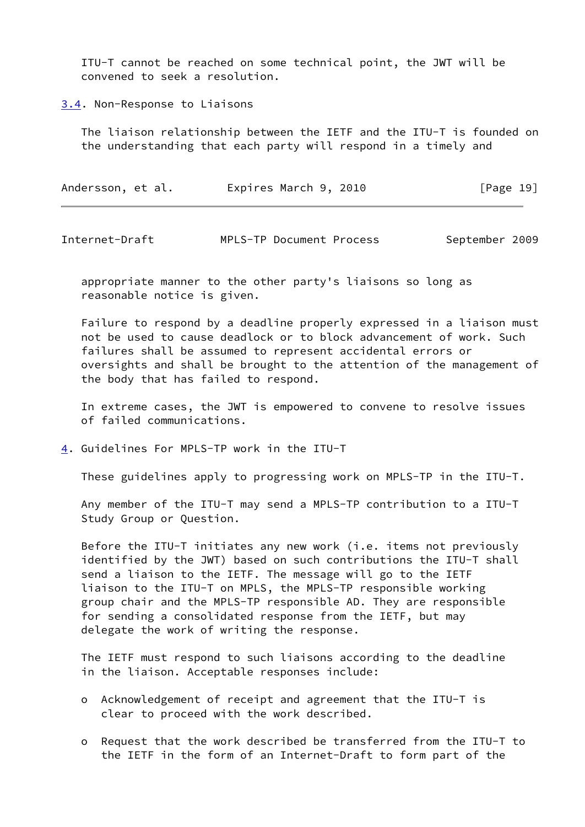ITU-T cannot be reached on some technical point, the JWT will be convened to seek a resolution.

<span id="page-21-0"></span>[3.4](#page-21-0). Non-Response to Liaisons

 The liaison relationship between the IETF and the ITU-T is founded on the understanding that each party will respond in a timely and

| Andersson, et al. | Expires March 9, 2010 | [Page 19] |
|-------------------|-----------------------|-----------|
|-------------------|-----------------------|-----------|

<span id="page-21-2"></span>Internet-Draft MPLS-TP Document Process September 2009

 appropriate manner to the other party's liaisons so long as reasonable notice is given.

 Failure to respond by a deadline properly expressed in a liaison must not be used to cause deadlock or to block advancement of work. Such failures shall be assumed to represent accidental errors or oversights and shall be brought to the attention of the management of the body that has failed to respond.

 In extreme cases, the JWT is empowered to convene to resolve issues of failed communications.

<span id="page-21-1"></span>[4](#page-21-1). Guidelines For MPLS-TP work in the ITU-T

These guidelines apply to progressing work on MPLS-TP in the ITU-T.

 Any member of the ITU-T may send a MPLS-TP contribution to a ITU-T Study Group or Question.

 Before the ITU-T initiates any new work (i.e. items not previously identified by the JWT) based on such contributions the ITU-T shall send a liaison to the IETF. The message will go to the IETF liaison to the ITU-T on MPLS, the MPLS-TP responsible working group chair and the MPLS-TP responsible AD. They are responsible for sending a consolidated response from the IETF, but may delegate the work of writing the response.

 The IETF must respond to such liaisons according to the deadline in the liaison. Acceptable responses include:

- o Acknowledgement of receipt and agreement that the ITU-T is clear to proceed with the work described.
- o Request that the work described be transferred from the ITU-T to the IETF in the form of an Internet-Draft to form part of the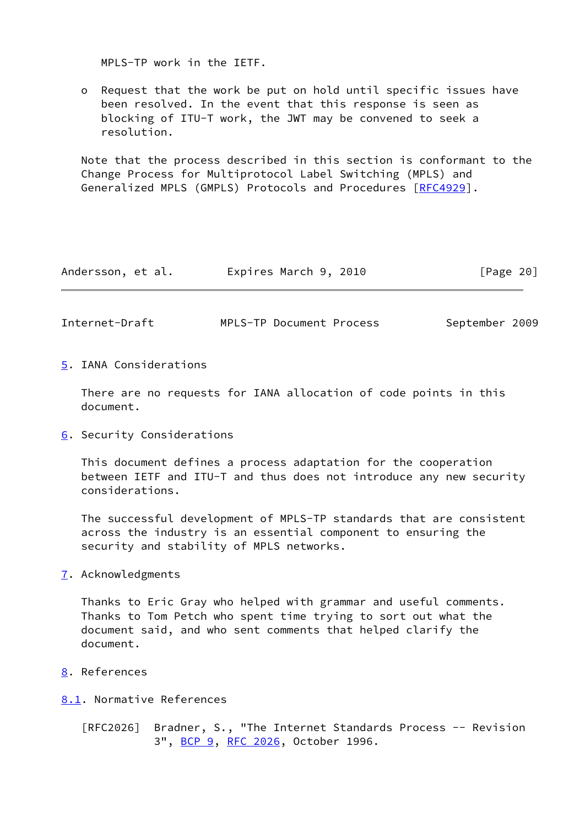MPLS-TP work in the IETF.

 o Request that the work be put on hold until specific issues have been resolved. In the event that this response is seen as blocking of ITU-T work, the JWT may be convened to seek a resolution.

 Note that the process described in this section is conformant to the Change Process for Multiprotocol Label Switching (MPLS) and Generalized MPLS (GMPLS) Protocols and Procedures [[RFC4929](https://datatracker.ietf.org/doc/pdf/rfc4929)].

| Andersson, et al.<br>Expires March 9, 2010 | [Page 20] |
|--------------------------------------------|-----------|
|--------------------------------------------|-----------|

<span id="page-22-3"></span>Internet-Draft MPLS-TP Document Process September 2009

<span id="page-22-0"></span>[5](#page-22-0). IANA Considerations

 There are no requests for IANA allocation of code points in this document.

<span id="page-22-1"></span>[6](#page-22-1). Security Considerations

 This document defines a process adaptation for the cooperation between IETF and ITU-T and thus does not introduce any new security considerations.

 The successful development of MPLS-TP standards that are consistent across the industry is an essential component to ensuring the security and stability of MPLS networks.

<span id="page-22-2"></span>[7](#page-22-2). Acknowledgments

 Thanks to Eric Gray who helped with grammar and useful comments. Thanks to Tom Petch who spent time trying to sort out what the document said, and who sent comments that helped clarify the document.

<span id="page-22-4"></span>[8](#page-22-4). References

<span id="page-22-5"></span>[8.1](#page-22-5). Normative References

 [RFC2026] Bradner, S., "The Internet Standards Process -- Revision 3", [BCP 9,](https://datatracker.ietf.org/doc/pdf/bcp9) [RFC 2026](https://datatracker.ietf.org/doc/pdf/rfc2026), October 1996.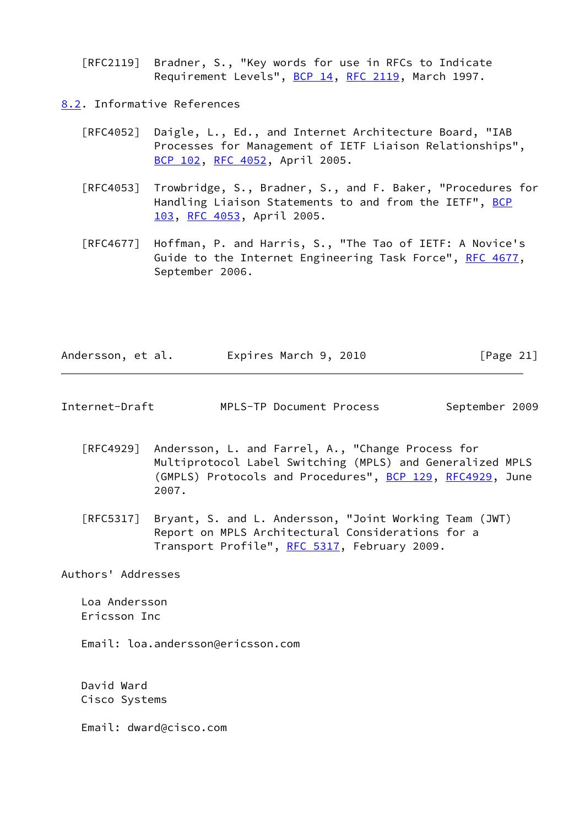[RFC2119] Bradner, S., "Key words for use in RFCs to Indicate Requirement Levels", [BCP 14](https://datatracker.ietf.org/doc/pdf/bcp14), [RFC 2119](https://datatracker.ietf.org/doc/pdf/rfc2119), March 1997.

<span id="page-23-0"></span>[8.2](#page-23-0). Informative References

- [RFC4052] Daigle, L., Ed., and Internet Architecture Board, "IAB Processes for Management of IETF Liaison Relationships", [BCP 102](https://datatracker.ietf.org/doc/pdf/bcp102), [RFC 4052,](https://datatracker.ietf.org/doc/pdf/rfc4052) April 2005.
- [RFC4053] Trowbridge, S., Bradner, S., and F. Baker, "Procedures for Handling Liaison Statements to and from the IETF", [BCP](https://datatracker.ietf.org/doc/pdf/bcp103) [103](https://datatracker.ietf.org/doc/pdf/bcp103), [RFC 4053](https://datatracker.ietf.org/doc/pdf/rfc4053), April 2005.
- [RFC4677] Hoffman, P. and Harris, S., "The Tao of IETF: A Novice's Guide to the Internet Engineering Task Force", [RFC 4677](https://datatracker.ietf.org/doc/pdf/rfc4677), September 2006.

| Andersson, et al. | Expires March 9, 2010 | [Page 21] |
|-------------------|-----------------------|-----------|
|                   |                       |           |

<span id="page-23-1"></span>

| MPLS-TP Document Process | Internet-Draft |  |  |  | September 2009 |  |
|--------------------------|----------------|--|--|--|----------------|--|
|--------------------------|----------------|--|--|--|----------------|--|

- [RFC4929] Andersson, L. and Farrel, A., "Change Process for Multiprotocol Label Switching (MPLS) and Generalized MPLS (GMPLS) Protocols and Procedures", [BCP 129](https://datatracker.ietf.org/doc/pdf/bcp129), [RFC4929](https://datatracker.ietf.org/doc/pdf/rfc4929), June 2007.
- [RFC5317] Bryant, S. and L. Andersson, "Joint Working Team (JWT) Report on MPLS Architectural Considerations for a Transport Profile", [RFC 5317,](https://datatracker.ietf.org/doc/pdf/rfc5317) February 2009.

Authors' Addresses

 Loa Andersson Ericsson Inc

Email: loa.andersson@ericsson.com

 David Ward Cisco Systems

Email: dward@cisco.com